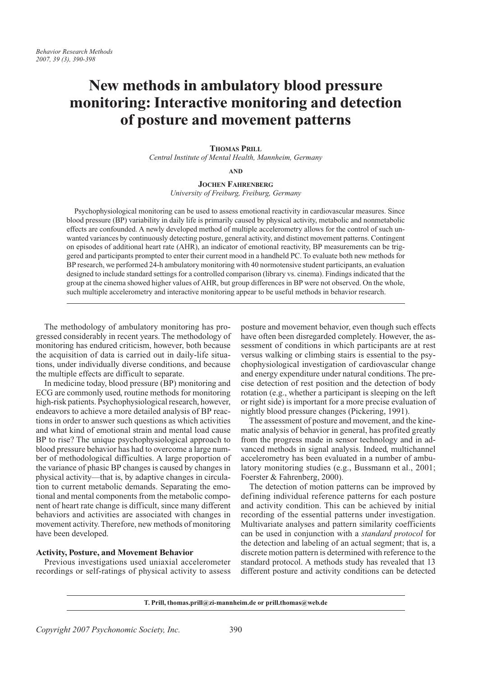# **New methods in ambulatory blood pressure monitoring: Interactive monitoring and detection of posture and movement patterns**

**Thomas Prill** *Central Institute of Mental Health, Mannheim, Germany*

**and**

# **Jochen Fahrenberg** *University of Freiburg, Freiburg, Germany*

Psychophysiological monitoring can be used to assess emotional reactivity in cardiovascular measures. Since blood pressure (BP) variability in daily life is primarily caused by physical activity, metabolic and nonmetabolic effects are confounded. A newly developed method of multiple accelerometry allows for the control of such unwanted variances by continuously detecting posture, general activity, and distinct movement patterns. Contingent on episodes of additional heart rate (AHR), an indicator of emotional reactivity, BP measurements can be triggered and participants prompted to enter their current mood in a handheld PC. To evaluate both new methods for BP research, we performed 24-h ambulatory monitoring with 40 normotensive student participants, an evaluation designed to include standard settings for a controlled comparison (library vs. cinema). Findings indicated that the group at the cinema showed higher values ofAHR, but group differences in BP were not observed. On the whole, such multiple accelerometry and interactive monitoring appear to be useful methods in behavior research.

The methodology of ambulatory monitoring has progressed considerably in recent years. The methodology of monitoring has endured criticism, however, both because the acquisition of data is carried out in daily-life situations, under individually diverse conditions, and because the multiple effects are difficult to separate.

In medicine today, blood pressure (BP) monitoring and ECG are commonly used, routine methods for monitoring high-risk patients. Psychophysiological research, however, endeavors to achieve a more detailed analysis of BP reactions in order to answer such questions as which activities and what kind of emotional strain and mental load cause BP to rise? The unique psychophysiological approach to blood pressure behavior has had to overcome a large number of methodological difficulties. A large proportion of the variance of phasic BP changes is caused by changes in physical activity—that is, by adaptive changes in circulation to current metabolic demands. Separating the emotional and mental components from the metabolic component of heart rate change is difficult, since many different behaviors and activities are associated with changes in movement activity.Therefore, new methods of monitoring have been developed.

# **Activity, Posture, and Movement Behavior**

Previous investigations used uniaxial accelerometer recordings or self-ratings of physical activity to assess

posture and movement behavior, even though such effects have often been disregarded completely. However, the assessment of conditions in which participants are at rest versus walking or climbing stairs is essential to the psychophysiological investigation of cardiovascular change and energy expenditure under natural conditions.The precise detection of rest position and the detection of body rotation (e.g., whether a participant is sleeping on the left or right side) is important for a more precise evaluation of nightly blood pressure changes (Pickering, 1991).

The assessment of posture and movement, and the kinematic analysis of behavior in general, has profited greatly from the progress made in sensor technology and in advanced methods in signal analysis. Indeed, multichannel accelerometry has been evaluated in a number of ambulatory monitoring studies (e.g., Bussmann et al., 2001; Foerster & Fahrenberg, 2000).

The detection of motion patterns can be improved by defining individual reference patterns for each posture and activity condition. This can be achieved by initial recording of the essential patterns under investigation. Multivariate analyses and pattern similarity coefficients can be used in conjunction with a *standard protocol* for the detection and labeling of an actual segment; that is, a discrete motion pattern is determined with reference to the standard protocol. A methods study has revealed that 13 different posture and activity conditions can be detected

```
T. Prill, thomas.prill@zi-mannheim.de or prill.thomas@web.de
```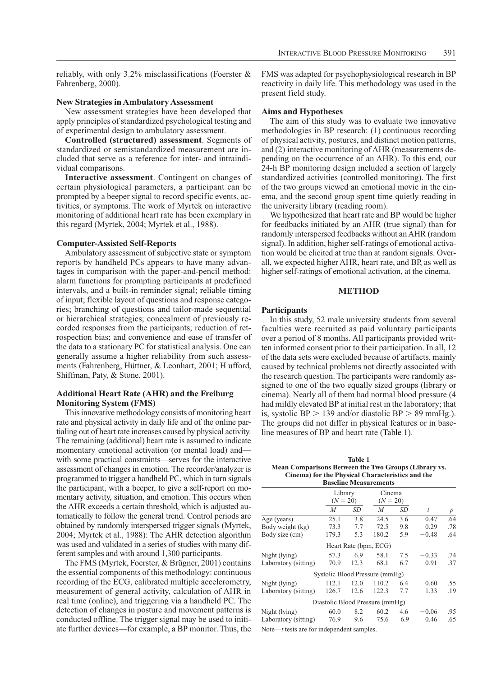reliably, with only 3.2% misclassifications (Foerster & Fahrenberg, 2000).

## **New Strategies in Ambulatory Assessment**

New assessment strategies have been developed that apply principles of standardized psychological testing and of experimental design to ambulatory assessment.

**Controlled (structured) assessment**. Segments of standardized or semistandardized measurement are included that serve as a reference for inter- and intraindividual comparisons.

**Interactive assessment**. Contingent on changes of certain physiological parameters, a participant can be prompted by a beeper signal to record specific events, activities, or symptoms. The work of Myrtek on interactive monitoring of additional heart rate has been exemplary in this regard (Myrtek, 2004; Myrtek et al., 1988).

#### **Computer-Assisted Self-Reports**

Ambulatory assessment of subjective state or symptom reports by handheld PCs appears to have many advantages in comparison with the paper-and-pencil method: alarm functions for prompting participants at predefined intervals, and a built-in reminder signal; reliable timing of input; flexible layout of questions and response categories; branching of questions and tailor-made sequential or hierarchical strategies; concealment of previously recorded responses from the participants; reduction of retrospection bias; and convenience and ease of transfer of the data to a stationary PC for statistical analysis. One can generally assume a higher reliability from such assessments (Fahrenberg, Hüttner, & Leonhart, 2001; H ufford, Shiffman, Paty, & Stone, 2001).

# **Additional Heart Rate (AHR) and the Freiburg Monitoring System (FMS)**

This innovative methodology consists of monitoring heart rate and physical activity in daily life and of the online partialing out of heart rate increases caused by physical activity. The remaining (additional) heart rate is assumed to indicate momentary emotional activation (or mental load) and with some practical constraints—serves for the interactive assessment of changes in emotion. The recorder/analyzer is programmed to trigger a handheld PC, which in turn signals the participant, with a beeper, to give a self-report on momentary activity, situation, and emotion. This occurs when the AHR exceeds a certain threshold, which is adjusted automatically to follow the general trend. Control periods are obtained by randomly interspersed trigger signals (Myrtek, 2004; Myrtek et al., 1988): The AHR detection algorithm was used and validated in a series of studies with many different samples and with around 1,300 participants.

The FMS (Myrtek, Foerster, & Brügner, 2001) contains the essential components of this methodology: continuous recording of the ECG, calibrated multiple accelerometry, measurement of general activity, calculation of AHR in real time (online), and triggering via a handheld PC. The detection of changes in posture and movement patterns is conducted offline. The trigger signal may be used to initiate further devices—for example, a BP monitor. Thus, the

FMS was adapted for psychophysiological research in BP reactivity in daily life. This methodology was used in the present field study.

# **Aims and Hypotheses**

The aim of this study was to evaluate two innovative methodologies in BP research: (1) continuous recording of physical activity, postures, and distinct motion patterns, and (2) interactive monitoring ofAHR (measurements depending on the occurrence of an AHR). To this end, our 24-h BP monitoring design included a section of largely standardized activities (controlled monitoring). The first of the two groups viewed an emotional movie in the cinema, and the second group spent time quietly reading in the university library (reading room).

We hypothesized that heart rate and BP would be higher for feedbacks initiated by an AHR (true signal) than for randomly interspersed feedbacks without anAHR (random signal). In addition, higher self-ratings of emotional activation would be elicited at true than at random signals. Overall, we expected higher AHR, heart rate, and BP, as well as higher self-ratings of emotional activation, at the cinema.

# **METHOD**

## **Participants**

In this study, 52 male university students from several faculties were recruited as paid voluntary participants over a period of 8 months. All participants provided written informed consent prior to their participation. In all, 12 of the data sets were excluded because of artifacts, mainly caused by technical problems not directly associated with the research question. The participants were randomly assigned to one of the two equally sized groups (library or cinema). Nearly all of them had normal blood pressure (4 had mildly elevated BP at initial rest in the laboratory; that is, systolic  $BP > 139$  and/or diastolic  $BP > 89$  mmHg.). The groups did not differ in physical features or in baseline measures of BP and heart rate (Table 1).

**Table 1 Mean Comparisons Between the Two Groups (Library vs. Cinema) for the Physical Characteristics and the Baseline Measurements**

|                      | Library<br>$(N = 20)$ |      | Cinema<br>$(N = 20)$            |     |                  |                  |
|----------------------|-----------------------|------|---------------------------------|-----|------------------|------------------|
|                      | M                     | SD   | M                               | SD  | $\boldsymbol{t}$ | $\boldsymbol{p}$ |
| Age (years)          | 25.1                  | 3.8  | 24.5                            | 3.6 | 0.47             | .64              |
| Body weight (kg)     | 73.3                  | 7.7  | 72.5                            | 9.8 | 0.29             | .78              |
| Body size (cm)       | 179.3                 | 5.3  | 180.2                           | 5.9 | $-0.48$          | .64              |
|                      |                       |      | Heart Rate (bpm, ECG)           |     |                  |                  |
| Night (lying)        | 57.3                  | 6.9  | 58.1                            | 7.5 | $-0.33$          | .74              |
| Laboratory (sitting) | 70.9                  | 12.3 | 68.1                            | 6.7 | 0.91             | .37              |
|                      |                       |      | Systolic Blood Pressure (mmHg)  |     |                  |                  |
| Night (lying)        | 112.1                 | 12.0 | 110.2                           | 6.4 | 0.60             | .55              |
| Laboratory (sitting) | 126.7                 | 12.6 | 122.3                           | 7.7 | 1.33             | .19              |
|                      |                       |      | Diastolic Blood Pressure (mmHg) |     |                  |                  |
| Night (lying)        | 60.0                  | 8.2  | 60.2                            | 4.6 | $-0.06$          | .95              |
| Laboratory (sitting) | 76.9                  | 9.6  | 75.6                            | 6.9 | 0.46             | .65              |

Note—*t* tests are for independent samples.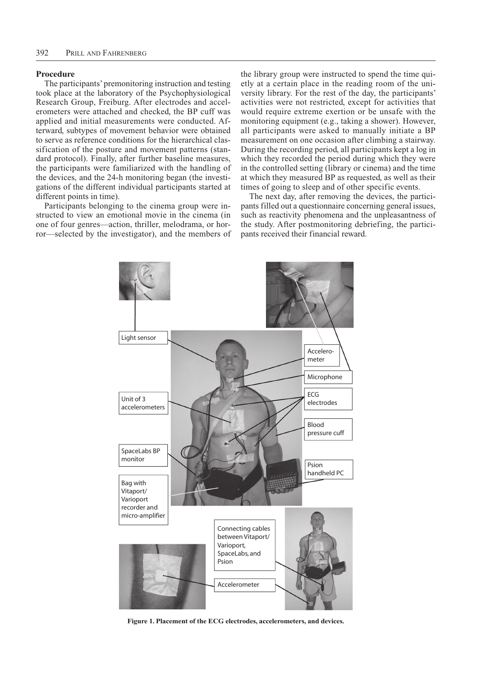# **Procedure**

The participants' premonitoring instruction and testing took place at the laboratory of the Psychophysiological Research Group, Freiburg. After electrodes and accelerometers were attached and checked, the BP cuff was applied and initial measurements were conducted. Afterward, subtypes of movement behavior were obtained to serve as reference conditions for the hierarchical classification of the posture and movement patterns (standard protocol). Finally, after further baseline measures, the participants were familiarized with the handling of the devices, and the 24-h monitoring began (the investigations of the different individual participants started at different points in time).

Participants belonging to the cinema group were instructed to view an emotional movie in the cinema (in one of four genres—action, thriller, melodrama, or horror—selected by the investigator), and the members of the library group were instructed to spend the time quietly at a certain place in the reading room of the university library. For the rest of the day, the participants' activities were not restricted, except for activities that would require extreme exertion or be unsafe with the monitoring equipment (e.g., taking a shower). However, all participants were asked to manually initiate a BP measurement on one occasion after climbing a stairway. During the recording period, all participants kept a log in which they recorded the period during which they were in the controlled setting (library or cinema) and the time at which they measured BP as requested, as well as their times of going to sleep and of other specific events.

The next day, after removing the devices, the participants filled out a questionnaire concerning general issues, such as reactivity phenomena and the unpleasantness of the study. After postmonitoring debriefing, the participants received their financial reward.



**Figure 1. Placement of the ECG electrodes, accelerometers, and devices.**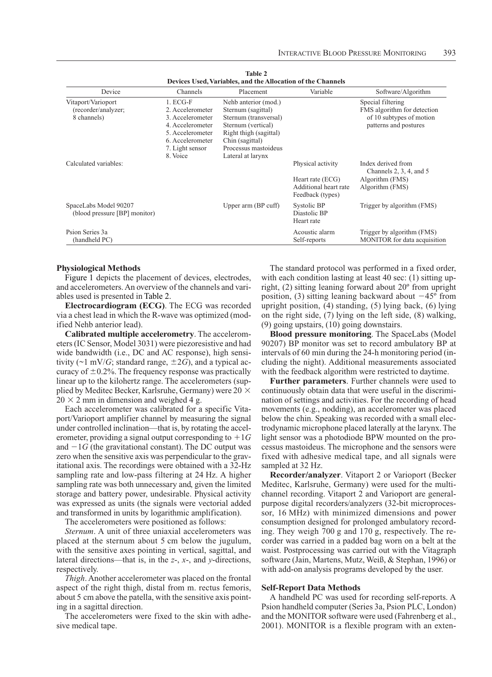| Devices Used, Variables, and the Allocation of the Channels |                                                                                                                                               |                                                                                                                                                                                     |                                                                                    |                                                                                                       |  |  |  |  |
|-------------------------------------------------------------|-----------------------------------------------------------------------------------------------------------------------------------------------|-------------------------------------------------------------------------------------------------------------------------------------------------------------------------------------|------------------------------------------------------------------------------------|-------------------------------------------------------------------------------------------------------|--|--|--|--|
| Device                                                      | Channels                                                                                                                                      | Placement                                                                                                                                                                           | Variable                                                                           | Software/Algorithm                                                                                    |  |  |  |  |
| Vitaport/Varioport<br>(recorder/analyzer;<br>8 channels)    | $1. ECG-F$<br>2. Accelerometer<br>3. Accelerometer<br>4. Accelerometer<br>5. Accelerometer<br>6. Accelerometer<br>7. Light sensor<br>8. Voice | Nehb anterior (mod.)<br>Sternum (sagittal)<br>Sternum (transversal)<br>Sternum (vertical)<br>Right thigh (sagittal)<br>Chin (sagittal)<br>Processus mastoideus<br>Lateral at larynx |                                                                                    | Special filtering<br>FMS algorithm for detection<br>of 10 subtypes of motion<br>patterns and postures |  |  |  |  |
| Calculated variables:                                       |                                                                                                                                               |                                                                                                                                                                                     | Physical activity<br>Heart rate (ECG)<br>Additional heart rate<br>Feedback (types) | Index derived from<br>Channels $2, 3, 4,$ and $5$<br>Algorithm (FMS)<br>Algorithm (FMS)               |  |  |  |  |
| SpaceLabs Model 90207<br>(blood pressure [BP] monitor)      |                                                                                                                                               | Upper arm $(BP \text{ cuff})$                                                                                                                                                       | Systolic BP<br>Diastolic BP<br>Heart rate                                          | Trigger by algorithm (FMS)                                                                            |  |  |  |  |
| Psion Series 3a<br>(handheld PC)                            |                                                                                                                                               |                                                                                                                                                                                     | Acoustic alarm<br>Self-reports                                                     | Trigger by algorithm (FMS)<br>MONITOR for data acquisition                                            |  |  |  |  |

**Table 2**

# **Physiological Methods**

Figure 1 depicts the placement of devices, electrodes, and accelerometers.An overview of the channels and variables used is presented in Table 2.

**Electrocardiogram (ECG)**. The ECG was recorded via a chest lead in which the R-wave was optimized (modified Nehb anterior lead).

**Calibrated multiple accelerometry**. The accelerometers(IC Sensor, Model 3031) were piezoresistive and had wide bandwidth (i.e., DC and AC response), high sensitivity ( $\sim$ 1 mV/*G*; standard range,  $\pm$ 2*G*), and a typical accuracy of  $\pm 0.2$ %. The frequency response was practically linear up to the kilohertz range. The accelerometers (supplied by Meditec Becker, Karlsruhe, Germany) were  $20 \times$  $20 \times 2$  mm in dimension and weighed 4 g.

Each accelerometer was calibrated for a specific Vitaport/Varioport amplifier channel by measuring the signal under controlled inclination—that is, by rotating the accelerometer, providing a signal output corresponding to  $+1G$ and  $-1$ *G* (the gravitational constant). The DC output was zero when the sensitive axis was perpendicular to the gravitational axis. The recordings were obtained with a 32-Hz sampling rate and low-pass filtering at 24 Hz. A higher sampling rate was both unnecessary and, given the limited storage and battery power, undesirable. Physical activity was expressed as units (the signals were vectorial added and transformed in units by logarithmic amplification).

The accelerometers were positioned as follows:

*Sternum*. A unit of three uniaxial accelerometers was placed at the sternum about 5 cm below the jugulum, with the sensitive axes pointing in vertical, sagittal, and lateral directions—that is, in the *z*-, *x*-, and *y*-directions, respectively.

*Thigh*.Another accelerometer was placed on the frontal aspect of the right thigh, distal from m. rectus femoris, about 5 cm above the patella, with the sensitive axis pointing in a sagittal direction.

The accelerometers were fixed to the skin with adhesive medical tape.

The standard protocol was performed in a fixed order, with each condition lasting at least 40 sec: (1) sitting upright, (2) sitting leaning forward about 20º from upright position, (3) sitting leaning backward about  $-45^\circ$  from upright position, (4) standing, (5) lying back, (6) lying on the right side, (7) lying on the left side, (8) walking, (9) going upstairs, (10) going downstairs.

**Blood pressure monitoring**. The SpaceLabs (Model 90207) BP monitor was set to record ambulatory BP at intervals of 60 min during the 24-h monitoring period (including the night). Additional measurements associated with the feedback algorithm were restricted to daytime.

**Further parameters**. Further channels were used to continuously obtain data that were useful in the discrimination of settings and activities. For the recording of head movements (e.g., nodding), an accelerometer was placed below the chin. Speaking was recorded with a small electrodynamic microphone placed laterally at the larynx.The light sensor was a photodiode BPW mounted on the processus mastoideus. The microphone and the sensors were fixed with adhesive medical tape, and all signals were sampled at 32 Hz.

**Recorder/analyzer**. Vitaport 2 or Varioport (Becker Meditec, Karlsruhe, Germany) were used for the multichannel recording. Vitaport 2 and Varioport are generalpurpose digital recorders/analyzers (32-bit microprocessor, 16 MHz) with minimized dimensions and power consumption designed for prolonged ambulatory recording. They weigh 700 g and 170 g, respectively. The recorder was carried in a padded bag worn on a belt at the waist. Postprocessing was carried out with the Vitagraph software (Jain, Martens, Mutz, Weiß, & Stephan, 1996) or with add-on analysis programs developed by the user.

# **Self-Report Data Methods**

A handheld PC was used for recording self-reports. A Psion handheld computer (Series 3a, Psion PLC, London) and the MONITOR software were used (Fahrenberg et al., 2001). MONITOR is a flexible program with an exten-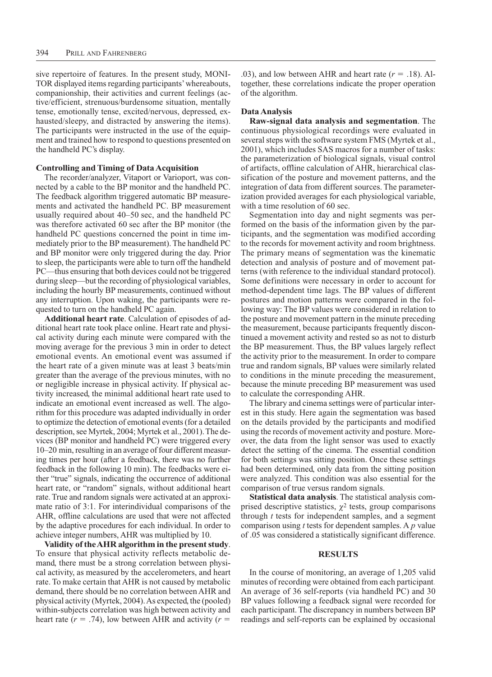sive repertoire of features. In the present study, MONI-TOR displayed items regarding participants' whereabouts, companionship, their activities and current feelings (active/efficient, strenuous/burdensome situation, mentally tense, emotionally tense, excited/nervous, depressed, exhausted/sleepy, and distracted by answering the items). The participants were instructed in the use of the equipment and trained how to respond to questions presented on the handheld PC's display.

# **Controlling and Timing of Data Acquisition**

The recorder/analyzer, Vitaport or Varioport, was connected by a cable to the BP monitor and the handheld PC. The feedback algorithm triggered automatic BP measurements and activated the handheld PC. BP measurement usually required about 40–50 sec, and the handheld PC was therefore activated 60 sec after the BP monitor (the handheld PC questions concerned the point in time immediately prior to the BP measurement).The handheld PC and BP monitor were only triggered during the day. Prior to sleep, the participants were able to turn off the handheld PC—thus ensuring that both devices could not be triggered during sleep—but the recording of physiological variables, including the hourly BP measurements, continued without any interruption. Upon waking, the participants were requested to turn on the handheld PC again.

**Additional heart rate**. Calculation of episodes of additional heart rate took place online. Heart rate and physical activity during each minute were compared with the moving average for the previous 3 min in order to detect emotional events. An emotional event was assumed if the heart rate of a given minute was at least 3 beats/min greater than the average of the previous minutes, with no or negligible increase in physical activity. If physical activity increased, the minimal additional heart rate used to indicate an emotional event increased as well. The algorithm for this procedure was adapted individually in order to optimize the detection of emotional events(for a detailed description, see Myrtek, 2004; Myrtek et al., 2001). The devices (BP monitor and handheld PC) were triggered every 10–20 min, resulting in an average of four different measuring times per hour (after a feedback, there was no further feedback in the following 10 min). The feedbacks were either "true" signals, indicating the occurrence of additional heart rate, or "random" signals, without additional heart rate. True and random signals were activated at an approximate ratio of 3:1. For interindividual comparisons of the AHR, offline calculations are used that were not affected by the adaptive procedures for each individual. In order to achieve integer numbers, AHR was multiplied by 10.

**Validity of the AHR algorithm in the present study**. To ensure that physical activity reflects metabolic demand, there must be a strong correlation between physical activity, as measured by the accelerometers, and heart rate. To make certain that AHR is not caused by metabolic demand, there should be no correlation between AHR and physical activity (Myrtek, 2004). As expected, the (pooled) within-subjects correlation was high between activity and heart rate  $(r = .74)$ , low between AHR and activity  $(r = .74)$ 

.03), and low between AHR and heart rate  $(r = .18)$ . Altogether, these correlations indicate the proper operation of the algorithm.

#### **Data Analysis**

**Raw-signal data analysis and segmentation**. The continuous physiological recordings were evaluated in several steps with the software system FMS (Myrtek et al., 2001), which includes SAS macros for a number of tasks: the parameterization of biological signals, visual control of artifacts, offline calculation of AHR, hierarchical classification of the posture and movement patterns, and the integration of data from different sources. The parameterization provided averages for each physiological variable, with a time resolution of 60 sec.

Segmentation into day and night segments was performed on the basis of the information given by the participants, and the segmentation was modified according to the records for movement activity and room brightness. The primary means of segmentation was the kinematic detection and analysis of posture and of movement patterns (with reference to the individual standard protocol). Some definitions were necessary in order to account for method-dependent time lags. The BP values of different postures and motion patterns were compared in the following way: The BP values were considered in relation to the posture and movement pattern in the minute preceding the measurement, because participants frequently discontinued a movement activity and rested so as not to disturb the BP measurement. Thus, the BP values largely reflect the activity prior to the measurement. In order to compare true and random signals, BP values were similarly related to conditions in the minute preceding the measurement, because the minute preceding BP measurement was used to calculate the corresponding AHR.

The library and cinema settings were of particular interest in this study. Here again the segmentation was based on the details provided by the participants and modified using the records of movement activity and posture. Moreover, the data from the light sensor was used to exactly detect the setting of the cinema. The essential condition for both settings was sitting position. Once these settings had been determined, only data from the sitting position were analyzed. This condition was also essential for the comparison of true versus random signals.

**Statistical data analysis**. The statistical analysis comprised descriptive statistics,  $\chi^2$  tests, group comparisons through *t* tests for independent samples, and a segment comparison using *t* tests for dependent samples. A *p* value of .05 was considered a statistically significant difference.

### **RESULTS**

In the course of monitoring, an average of 1,205 valid minutes of recording were obtained from each participant. An average of 36 self-reports (via handheld PC) and 30 BP values following a feedback signal were recorded for each participant.The discrepancy in numbers between BP readings and self-reports can be explained by occasional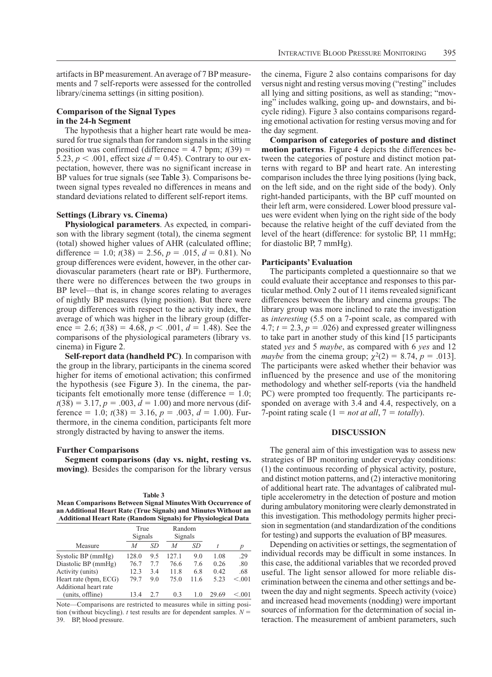artifactsin BP measurement.An average of 7 BP measurements and 7 self-reports were assessed for the controlled library/cinema settings (in sitting position).

# **Comparison of the Signal Types in the 24-h Segment**

The hypothesis that a higher heart rate would be measured for true signals than for random signals in the sitting position was confirmed (difference  $= 4.7$  bpm;  $t(39) =$ 5.23,  $p < .001$ , effect size  $d = 0.45$ ). Contrary to our expectation, however, there was no significant increase in BP values for true signals (see Table 3). Comparisons between signal types revealed no differences in means and standard deviations related to different self-report items.

# **Settings (Library vs. Cinema)**

**Physiological parameters**. As expected, in comparison with the library segment (total), the cinema segment (total) showed higher values of AHR (calculated offline; difference = 1.0;  $t(38) = 2.56$ ,  $p = .015$ ,  $d = 0.81$ ). No group differences were evident, however, in the other cardiovascular parameters (heart rate or BP). Furthermore, there were no differences between the two groups in BP level—that is, in change scores relating to averages of nightly BP measures (lying position). But there were group differences with respect to the activity index, the average of which was higher in the library group (difference = 2.6;  $t(38) = 4.68$ ,  $p < .001$ ,  $d = 1.48$ ). See the comparisons of the physiological parameters (library vs. cinema) in Figure 2.

**Self-report data (handheld PC)**. In comparison with the group in the library, participants in the cinema scored higher for items of emotional activation; this confirmed the hypothesis (see Figure 3). In the cinema, the participants felt emotionally more tense (difference  $= 1.0$ ;  $t(38) = 3.17, p = .003, d = 1.00$ ) and more nervous (difference = 1.0;  $t(38) = 3.16$ ,  $p = .003$ ,  $d = 1.00$ ). Furthermore, in the cinema condition, participants felt more strongly distracted by having to answer the items.

## **Further Comparisons**

**Segment comparisons (day vs. night, resting vs. moving)**. Besides the comparison for the library versus

**Table 3 Mean Comparisons Between Signal Minutes With Occurrence of an Additional Heart Rate (True Signals) and Minutes Without an Additional Heart Rate (Random Signals) for Physiological Data**

| True<br>Signals |     | Random<br>Signals |      |       |         |
|-----------------|-----|-------------------|------|-------|---------|
| M               | SD  | M                 | SD   | t     | p       |
| 128.0           | 9.5 | 127.1             | 9.0  | 1.08  | .29     |
| 76.7            | 7.7 | 76.6              | 7.6  | 0.26  | .80     |
| 12.3            | 3.4 | 11.8              | 6.8  | 0.42  | .68     |
| 79.7            | 9.0 | 75.0              | 11.6 | 5.23  | < 0.001 |
|                 |     |                   |      |       |         |
| 13.4            | 27  | 0.3               |      | 29.69 | < 0.01  |
|                 |     |                   |      |       |         |

Note—Comparisons are restricted to measures while in sitting position (without bicycling). *t* test results are for dependent samples.  $N =$ 39. BP, blood pressure.

the cinema, Figure 2 also contains comparisons for day versus night and resting versus moving ("resting" includes all lying and sitting positions, as well as standing; "moving" includes walking, going up- and downstairs, and bicycle riding). Figure 3 also contains comparisons regarding emotional activation for resting versus moving and for the day segment.

**Comparison of categories of posture and distinct motion patterns**. Figure 4 depicts the differences between the categories of posture and distinct motion patterns with regard to BP and heart rate. An interesting comparison includes the three lying positions (lying back, on the left side, and on the right side of the body). Only right-handed participants, with the BP cuff mounted on their left arm, were considered. Lower blood pressure values were evident when lying on the right side of the body because the relative height of the cuff deviated from the level of the heart (difference: for systolic BP, 11 mmHg; for diastolic BP, 7 mmHg).

# **Participants' Evaluation**

The participants completed a questionnaire so that we could evaluate their acceptance and responses to this particular method. Only 2 out of 11 items revealed significant differences between the library and cinema groups: The library group was more inclined to rate the investigation as *interesting* (5.5 on a 7-point scale, as compared with 4.7;  $t = 2.3$ ,  $p = .026$ ) and expressed greater willingness to take part in another study of this kind [15 participants stated *yes* and 5 *maybe*, as compared with 6 *yes* and 12 *maybe* from the cinema group;  $\chi^2(2) = 8.74$ , *p* = .013]. The participants were asked whether their behavior was influenced by the presence and use of the monitoring methodology and whether self-reports (via the handheld PC) were prompted too frequently. The participants responded on average with 3.4 and 4.4, respectively, on a 7-point rating scale  $(1 = not at all, 7 = totally)$ .

# **DISCUSSION**

The general aim of this investigation was to assess new strategies of BP monitoring under everyday conditions: (1) the continuous recording of physical activity, posture, and distinct motion patterns, and (2) interactive monitoring of additional heart rate. The advantages of calibrated multiple accelerometry in the detection of posture and motion during ambulatory monitoring were clearly demonstrated in this investigation. This methodology permits higher precision in segmentation (and standardization of the conditions for testing) and supports the evaluation of BP measures.

Depending on activities or settings, the segmentation of individual records may be difficult in some instances. In this case, the additional variables that we recorded proved useful. The light sensor allowed for more reliable discrimination between the cinema and other settings and between the day and night segments. Speech activity (voice) and increased head movements (nodding) were important sources of information for the determination of social interaction. The measurement of ambient parameters, such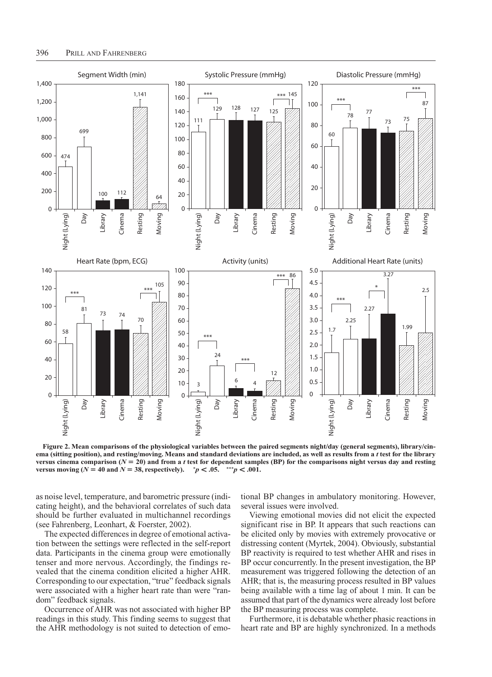

**Figure 2. Mean comparisons of the physiological variables between the paired segments night/day (general segments), library/cinema (sitting position), and resting/moving. Means and standard deviations are included, as well as results from a** *t* **test for the library**  versus cinema comparison ( $N = 20$ ) and from a *t* test for dependent samples (BP) for the comparisons night versus day and resting versus moving ( $N = 40$  and  $N = 38$ , respectively).  $\pi R = 0.05$ ,  $\pi R = 0.01$ . **versus moving (** $N = 40$  **and**  $N = 38$ **, respectively).**  $*$ *p* **< .05.** 

as noise level, temperature, and barometric pressure (indicating height), and the behavioral correlates of such data should be further evaluated in multichannel recordings (see Fahrenberg, Leonhart, & Foerster, 2002).

The expected differences in degree of emotional activation between the settings were reflected in the self-report data. Participants in the cinema group were emotionally tenser and more nervous. Accordingly, the findings revealed that the cinema condition elicited a higher AHR. Corresponding to our expectation, "true" feedback signals were associated with a higher heart rate than were "random" feedback signals.

Occurrence of AHR was not associated with higher BP readings in this study. This finding seems to suggest that the AHR methodology is not suited to detection of emotional BP changes in ambulatory monitoring. However, several issues were involved.

Viewing emotional movies did not elicit the expected significant rise in BP. It appears that such reactions can be elicited only by movies with extremely provocative or distressing content (Myrtek, 2004). Obviously, substantial BP reactivity is required to test whether AHR and rises in BP occur concurrently. In the present investigation, the BP measurement was triggered following the detection of an AHR; that is, the measuring process resulted in BP values being available with a time lag of about 1 min. It can be assumed that part of the dynamics were already lost before the BP measuring process was complete.

Furthermore, it is debatable whether phasic reactions in heart rate and BP are highly synchronized. In a methods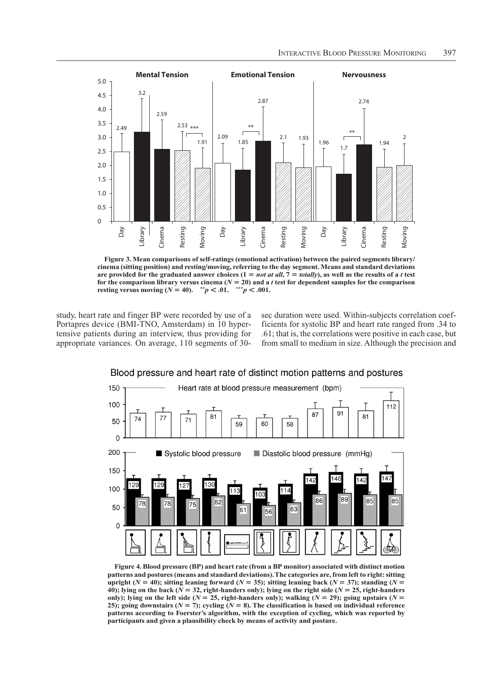

**Figure 3. Mean comparisons of self-ratings (emotional activation) between the paired segments library/ cinema (sitting position) and resting/moving, referring to the day segment. Means and standard deviations**  are provided for the graduated answer choices  $(1 = not at all, 7 = totally)$ , as well as the results of a *t* test for the comparison library versus cinema ( $N = 20$ ) and a *t* test for dependent samples for the comparison **resting versus moving (** $N = 40$ **).**  $*^{*}p < .01$ .  $*^{*}p < .001$ .

study, heart rate and finger BP were recorded by use of a Portapres device (BMI-TNO, Amsterdam) in 10 hypertensive patients during an interview, thus providing for appropriate variances. On average, 110 segments of 30sec duration were used. Within-subjects correlation coefficients for systolic BP and heart rate ranged from .34 to .61; that is, the correlations were positive in each case, but from small to medium in size. Although the precision and



Blood pressure and heart rate of distinct motion patterns and postures

**Figure 4. Blood pressure (BP) and heart rate (from a BP monitor) associated with distinct motion patterns and postures (means and standard deviations). The categories are, from left to right: sitting upright** ( $N = 40$ ); sitting leaning forward ( $N = 35$ ); sitting leaning back ( $N = 37$ ); standing ( $N = 37$ ); standing ( $N = 37$ ); standing ( $N = 37$ ); standing ( $N = 37$ ); standing ( $N = 37$ ); standing ( $N = 37$ ); standing ( $N =$ **40);** lying on the back ( $N = 32$ , right-handers only); lying on the right side ( $N = 25$ , right-handers only); lying on the left side ( $N = 25$ , right-handers only); walking ( $N = 29$ ); going upstairs ( $N = 10$ **25); going downstairs (** $N = 7$ **); cycling (** $N = 8$ **). The classification is based on individual reference patterns according to Foerster's algorithm, with the exception of cycling, which was reported by participants and given a plausibility check by means of activity and posture.**